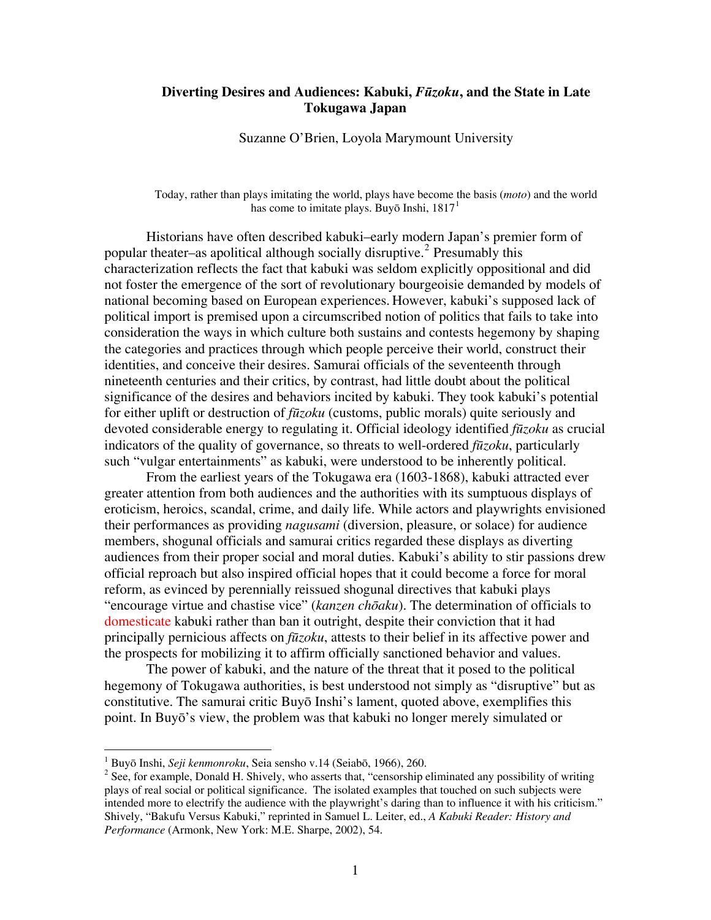# **Diverting Desires and Audiences: Kabuki,** *Fūzoku***, and the State in Late Tokugawa Japan**

Suzanne O'Brien, Loyola Marymount University

Today, rather than plays imitating the world, plays have become the basis (*moto*) and the world has come to imitate plays. Buyō Inshi,  $1817<sup>1</sup>$  $1817<sup>1</sup>$ 

Historians have often described kabuki–early modern Japan's premier form of popular theater–as apolitical although socially disruptive.<sup>[2](#page-0-1)</sup> Presumably this characterization reflects the fact that kabuki was seldom explicitly oppositional and did not foster the emergence of the sort of revolutionary bourgeoisie demanded by models of national becoming based on European experiences. However, kabuki's supposed lack of political import is premised upon a circumscribed notion of politics that fails to take into consideration the ways in which culture both sustains and contests hegemony by shaping the categories and practices through which people perceive their world, construct their identities, and conceive their desires. Samurai officials of the seventeenth through nineteenth centuries and their critics, by contrast, had little doubt about the political significance of the desires and behaviors incited by kabuki. They took kabuki's potential for either uplift or destruction of *fūzoku* (customs, public morals) quite seriously and devoted considerable energy to regulating it. Official ideology identified *fūzoku* as crucial indicators of the quality of governance, so threats to well-ordered *fūzoku*, particularly such "vulgar entertainments" as kabuki, were understood to be inherently political.

From the earliest years of the Tokugawa era (1603-1868), kabuki attracted ever greater attention from both audiences and the authorities with its sumptuous displays of eroticism, heroics, scandal, crime, and daily life. While actors and playwrights envisioned their performances as providing *nagusami* (diversion, pleasure, or solace) for audience members, shogunal officials and samurai critics regarded these displays as diverting audiences from their proper social and moral duties. Kabuki's ability to stir passions drew official reproach but also inspired official hopes that it could become a force for moral reform, as evinced by perennially reissued shogunal directives that kabuki plays "encourage virtue and chastise vice" (*kanzen chōaku*). The determination of officials to domesticate kabuki rather than ban it outright, despite their conviction that it had principally pernicious affects on *fūzoku*, attests to their belief in its affective power and the prospects for mobilizing it to affirm officially sanctioned behavior and values.

The power of kabuki, and the nature of the threat that it posed to the political hegemony of Tokugawa authorities, is best understood not simply as "disruptive" but as constitutive. The samurai critic Buyō Inshi's lament, quoted above, exemplifies this point. In Buyō's view, the problem was that kabuki no longer merely simulated or

<u>.</u>

<sup>&</sup>lt;sup>1</sup> Buyō Inshi, *Seji kenmonroku*, Seia sensho v.14 (Seiabō, 1966), 260.

<span id="page-0-1"></span><span id="page-0-0"></span><sup>&</sup>lt;sup>2</sup> See, for example, Donald H. Shively, who asserts that, "censorship eliminated any possibility of writing plays of real social or political significance. The isolated examples that touched on such subjects were intended more to electrify the audience with the playwright's daring than to influence it with his criticism." Shively, "Bakufu Versus Kabuki," reprinted in Samuel L. Leiter, ed., *A Kabuki Reader: History and Performance* (Armonk, New York: M.E. Sharpe, 2002), 54.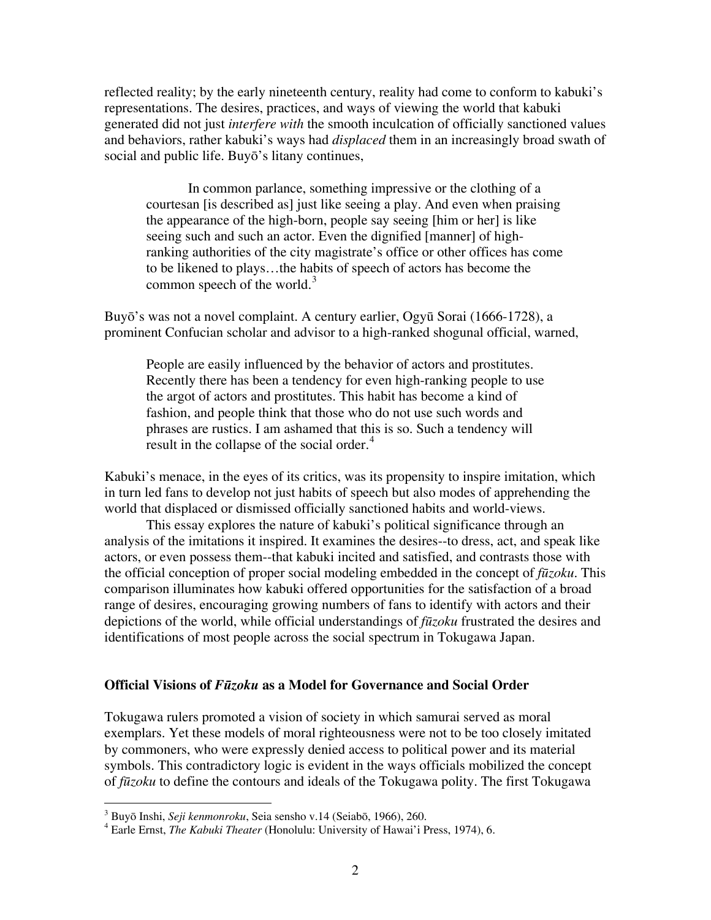reflected reality; by the early nineteenth century, reality had come to conform to kabuki's representations. The desires, practices, and ways of viewing the world that kabuki generated did not just *interfere with* the smooth inculcation of officially sanctioned values and behaviors, rather kabuki's ways had *displaced* them in an increasingly broad swath of social and public life. Buyō's litany continues,

In common parlance, something impressive or the clothing of a courtesan [is described as] just like seeing a play. And even when praising the appearance of the high-born, people say seeing [him or her] is like seeing such and such an actor. Even the dignified [manner] of highranking authorities of the city magistrate's office or other offices has come to be likened to plays…the habits of speech of actors has become the common speech of the world.<sup>[3](#page-1-0)</sup>

Buyō's was not a novel complaint. A century earlier, Ogyū Sorai (1666-1728), a prominent Confucian scholar and advisor to a high-ranked shogunal official, warned,

People are easily influenced by the behavior of actors and prostitutes. Recently there has been a tendency for even high-ranking people to use the argot of actors and prostitutes. This habit has become a kind of fashion, and people think that those who do not use such words and phrases are rustics. I am ashamed that this is so. Such a tendency will result in the collapse of the social order.<sup>[4](#page-1-1)</sup>

Kabuki's menace, in the eyes of its critics, was its propensity to inspire imitation, which in turn led fans to develop not just habits of speech but also modes of apprehending the world that displaced or dismissed officially sanctioned habits and world-views.

This essay explores the nature of kabuki's political significance through an analysis of the imitations it inspired. It examines the desires--to dress, act, and speak like actors, or even possess them--that kabuki incited and satisfied, and contrasts those with the official conception of proper social modeling embedded in the concept of *fūzoku*. This comparison illuminates how kabuki offered opportunities for the satisfaction of a broad range of desires, encouraging growing numbers of fans to identify with actors and their depictions of the world, while official understandings of *fūzoku* frustrated the desires and identifications of most people across the social spectrum in Tokugawa Japan.

# **Official Visions of** *Fūzoku* **as a Model for Governance and Social Order**

Tokugawa rulers promoted a vision of society in which samurai served as moral exemplars. Yet these models of moral righteousness were not to be too closely imitated by commoners, who were expressly denied access to political power and its material symbols. This contradictory logic is evident in the ways officials mobilized the concept of *fūzoku* to define the contours and ideals of the Tokugawa polity. The first Tokugawa

<span id="page-1-0"></span><sup>&</sup>lt;sup>3</sup> Buyō Inshi, *Seji kenmonroku*, Seia sensho v.14 (Seiabō, 1966), 260.<br><sup>4</sup> Earla Ernst, *The Kahuki Theater* (Honolulu: University of Housi'i B

<span id="page-1-1"></span>Earle Ernst, *The Kabuki Theater* (Honolulu: University of Hawai'i Press, 1974), 6.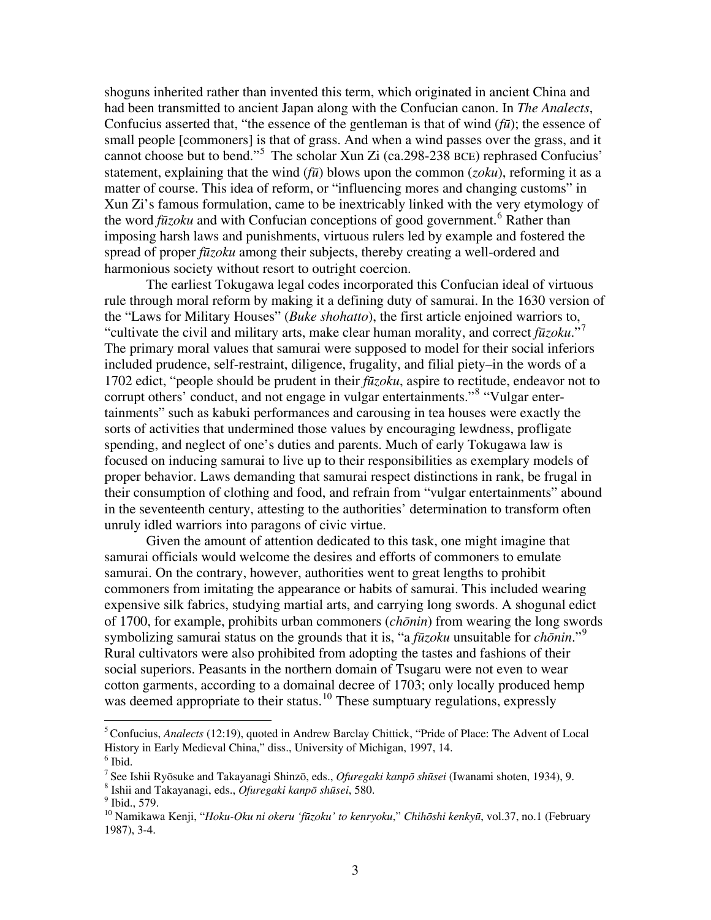shoguns inherited rather than invented this term, which originated in ancient China and had been transmitted to ancient Japan along with the Confucian canon. In *The Analects*, Confucius asserted that, "the essence of the gentleman is that of wind (*fū*); the essence of small people [commoners] is that of grass. And when a wind passes over the grass, and it cannot choose but to bend."<sup>[5](#page-2-0)</sup> The scholar Xun Zi (ca.298-238 BCE) rephrased Confucius' statement, explaining that the wind (*fū*) blows upon the common (*zoku*), reforming it as a matter of course. This idea of reform, or "influencing mores and changing customs" in Xun Zi's famous formulation, came to be inextricably linked with the very etymology of the word *fūzoku* and with Confucian conceptions of good government.<sup>[6](#page-2-1)</sup> Rather than imposing harsh laws and punishments, virtuous rulers led by example and fostered the spread of proper *fūzoku* among their subjects, thereby creating a well-ordered and harmonious society without resort to outright coercion.

The earliest Tokugawa legal codes incorporated this Confucian ideal of virtuous rule through moral reform by making it a defining duty of samurai. In the 1630 version of the "Laws for Military Houses" (*Buke shohatto*), the first article enjoined warriors to, "cultivate the civil and military arts, make clear human morality, and correct *fūzoku*."[7](#page-2-2) The primary moral values that samurai were supposed to model for their social inferiors included prudence, self-restraint, diligence, frugality, and filial piety–in the words of a 1702 edict, "people should be prudent in their *fūzoku*, aspire to rectitude, endeavor not to corrupt others' conduct, and not engage in vulgar entertainments."<sup>[8](#page-2-3)</sup> "Vulgar entertainments" such as kabuki performances and carousing in tea houses were exactly the sorts of activities that undermined those values by encouraging lewdness, profligate spending, and neglect of one's duties and parents. Much of early Tokugawa law is focused on inducing samurai to live up to their responsibilities as exemplary models of proper behavior. Laws demanding that samurai respect distinctions in rank, be frugal in their consumption of clothing and food, and refrain from "vulgar entertainments" abound in the seventeenth century, attesting to the authorities' determination to transform often unruly idled warriors into paragons of civic virtue.

Given the amount of attention dedicated to this task, one might imagine that samurai officials would welcome the desires and efforts of commoners to emulate samurai. On the contrary, however, authorities went to great lengths to prohibit commoners from imitating the appearance or habits of samurai. This included wearing expensive silk fabrics, studying martial arts, and carrying long swords. A shogunal edict of 1700, for example, prohibits urban commoners (*chōnin*) from wearing the long swords symbolizing samurai status on the grounds that it is, "a *fūzoku* unsuitable for *chōnin*."[9](#page-2-4) Rural cultivators were also prohibited from adopting the tastes and fashions of their social superiors. Peasants in the northern domain of Tsugaru were not even to wear cotton garments, according to a domainal decree of 1703; only locally produced hemp was deemed appropriate to their status.<sup>[10](#page-2-5)</sup> These sumptuary regulations, expressly

<span id="page-2-0"></span><sup>5</sup> Confucius, *Analects* (12:19), quoted in Andrew Barclay Chittick, "Pride of Place: The Advent of Local History in Early Medieval China," diss., University of Michigan, 1997, 14.

<span id="page-2-1"></span> $<sup>6</sup>$  Ibid.</sup>

<sup>7</sup> See Ishii Ryōsuke and Takayanagi Shinzō, eds., *Ofuregaki kanpō shūsei* (Iwanami shoten, 1934), 9. <sup>8</sup>

<span id="page-2-3"></span><span id="page-2-2"></span>Ishii and Takayanagi, eds., *Ofuregaki kanpō shūsei*, 580. 9

<span id="page-2-4"></span> $<sup>9</sup>$  Ibid., 579.</sup>

<span id="page-2-5"></span><sup>10</sup> Namikawa Kenji, "*Hoku-Oku ni okeru 'fūzoku' to kenryoku*," *Chihōshi kenkyū*, vol.37, no.1 (February 1987), 3-4.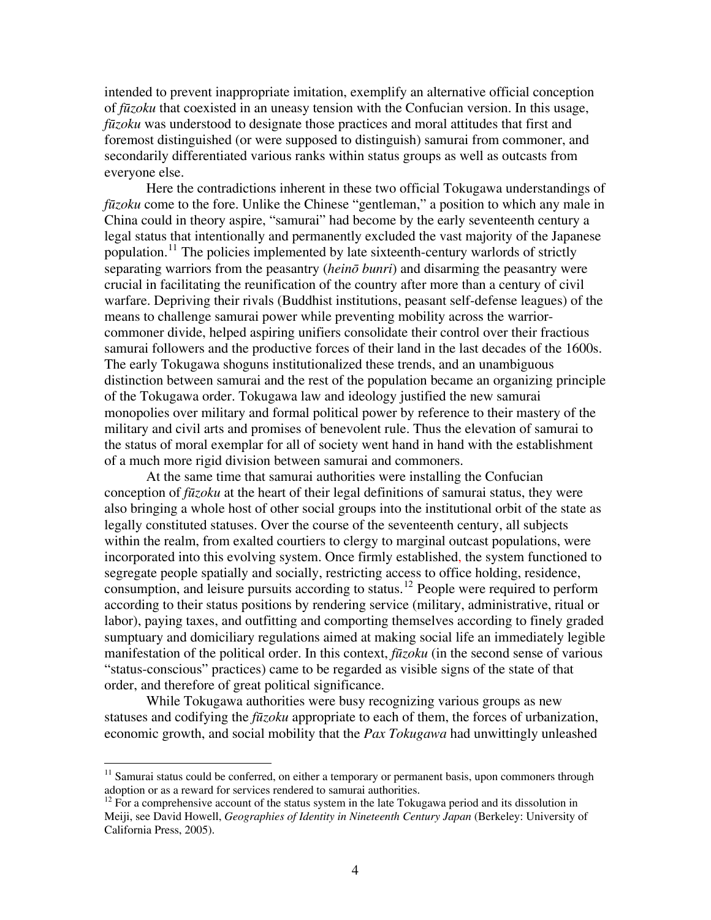intended to prevent inappropriate imitation, exemplify an alternative official conception of *fūzoku* that coexisted in an uneasy tension with the Confucian version. In this usage, *fūzoku* was understood to designate those practices and moral attitudes that first and foremost distinguished (or were supposed to distinguish) samurai from commoner, and secondarily differentiated various ranks within status groups as well as outcasts from everyone else.

Here the contradictions inherent in these two official Tokugawa understandings of *fūzoku* come to the fore. Unlike the Chinese "gentleman," a position to which any male in China could in theory aspire, "samurai" had become by the early seventeenth century a legal status that intentionally and permanently excluded the vast majority of the Japanese population.<sup>[11](#page-3-0)</sup> The policies implemented by late sixteenth-century warlords of strictly separating warriors from the peasantry (*heinō bunri*) and disarming the peasantry were crucial in facilitating the reunification of the country after more than a century of civil warfare. Depriving their rivals (Buddhist institutions, peasant self-defense leagues) of the means to challenge samurai power while preventing mobility across the warriorcommoner divide, helped aspiring unifiers consolidate their control over their fractious samurai followers and the productive forces of their land in the last decades of the 1600s. The early Tokugawa shoguns institutionalized these trends, and an unambiguous distinction between samurai and the rest of the population became an organizing principle of the Tokugawa order. Tokugawa law and ideology justified the new samurai monopolies over military and formal political power by reference to their mastery of the military and civil arts and promises of benevolent rule. Thus the elevation of samurai to the status of moral exemplar for all of society went hand in hand with the establishment of a much more rigid division between samurai and commoners.

At the same time that samurai authorities were installing the Confucian conception of *fūzoku* at the heart of their legal definitions of samurai status, they were also bringing a whole host of other social groups into the institutional orbit of the state as legally constituted statuses. Over the course of the seventeenth century, all subjects within the realm, from exalted courtiers to clergy to marginal outcast populations, were incorporated into this evolving system. Once firmly established, the system functioned to segregate people spatially and socially, restricting access to office holding, residence, consumption, and leisure pursuits according to status.[12](#page-3-1) People were required to perform according to their status positions by rendering service (military, administrative, ritual or labor), paying taxes, and outfitting and comporting themselves according to finely graded sumptuary and domiciliary regulations aimed at making social life an immediately legible manifestation of the political order. In this context, *fūzoku* (in the second sense of various "status-conscious" practices) came to be regarded as visible signs of the state of that order, and therefore of great political significance.

While Tokugawa authorities were busy recognizing various groups as new statuses and codifying the *fūzoku* appropriate to each of them, the forces of urbanization, economic growth, and social mobility that the *Pax Tokugawa* had unwittingly unleashed

<span id="page-3-0"></span> $11$  Samurai status could be conferred, on either a temporary or permanent basis, upon commoners through adoption or as a reward for services rendered to samurai authorities.<br><sup>12</sup> For a comprehensive account of the status system in the late Tokugawa period and its dissolution in

<span id="page-3-1"></span>Meiji, see David Howell, *Geographies of Identity in Nineteenth Century Japan* (Berkeley: University of California Press, 2005).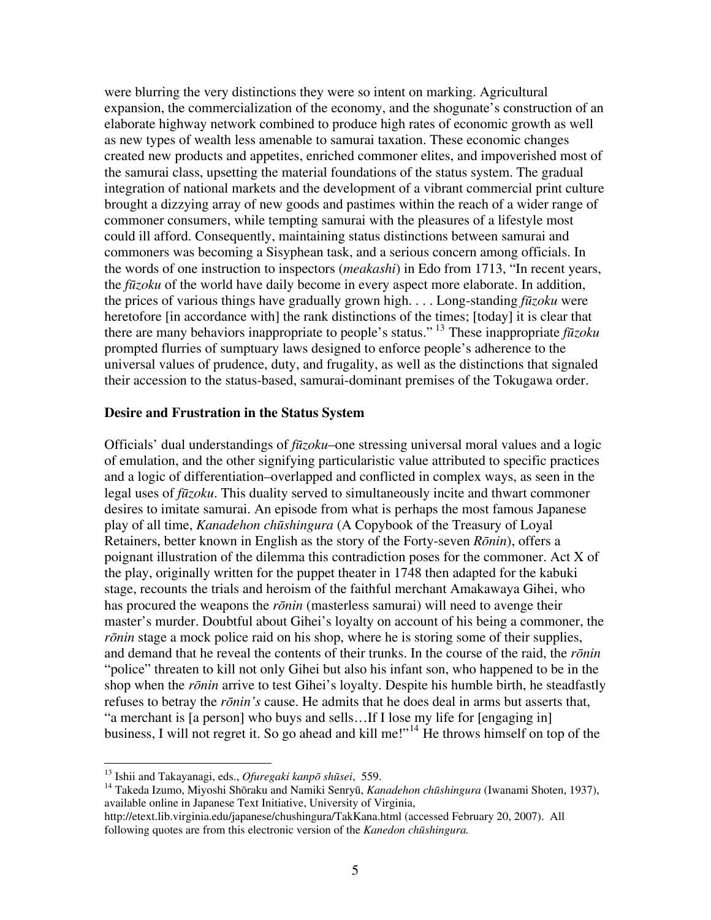were blurring the very distinctions they were so intent on marking. Agricultural expansion, the commercialization of the economy, and the shogunate's construction of an elaborate highway network combined to produce high rates of economic growth as well as new types of wealth less amenable to samurai taxation. These economic changes created new products and appetites, enriched commoner elites, and impoverished most of the samurai class, upsetting the material foundations of the status system. The gradual integration of national markets and the development of a vibrant commercial print culture brought a dizzying array of new goods and pastimes within the reach of a wider range of commoner consumers, while tempting samurai with the pleasures of a lifestyle most could ill afford. Consequently, maintaining status distinctions between samurai and commoners was becoming a Sisyphean task, and a serious concern among officials. In the words of one instruction to inspectors (*meakashi*) in Edo from 1713, "In recent years, the *fūzoku* of the world have daily become in every aspect more elaborate. In addition, the prices of various things have gradually grown high. . . . Long-standing *fūzoku* were heretofore [in accordance with] the rank distinctions of the times; [today] it is clear that there are many behaviors inappropriate to people's status." [13](#page-4-0) These inappropriate *fūzoku* prompted flurries of sumptuary laws designed to enforce people's adherence to the universal values of prudence, duty, and frugality, as well as the distinctions that signaled their accession to the status-based, samurai-dominant premises of the Tokugawa order.

## **Desire and Frustration in the Status System**

Officials' dual understandings of *fūzoku*–one stressing universal moral values and a logic of emulation, and the other signifying particularistic value attributed to specific practices and a logic of differentiation–overlapped and conflicted in complex ways, as seen in the legal uses of *fūzoku*. This duality served to simultaneously incite and thwart commoner desires to imitate samurai. An episode from what is perhaps the most famous Japanese play of all time, *Kanadehon chūshingura* (A Copybook of the Treasury of Loyal Retainers, better known in English as the story of the Forty-seven *Rōnin*), offers a poignant illustration of the dilemma this contradiction poses for the commoner. Act X of the play, originally written for the puppet theater in 1748 then adapted for the kabuki stage, recounts the trials and heroism of the faithful merchant Amakawaya Gihei, who has procured the weapons the *rōnin* (masterless samurai) will need to avenge their master's murder. Doubtful about Gihei's loyalty on account of his being a commoner, the *rōnin* stage a mock police raid on his shop, where he is storing some of their supplies, and demand that he reveal the contents of their trunks. In the course of the raid, the *rōnin* "police" threaten to kill not only Gihei but also his infant son, who happened to be in the shop when the *rōnin* arrive to test Gihei's loyalty. Despite his humble birth, he steadfastly refuses to betray the *rōnin's* cause. He admits that he does deal in arms but asserts that, "a merchant is [a person] who buys and sells…If I lose my life for [engaging in] business, I will not regret it. So go ahead and kill me!"<sup>[14](#page-4-1)</sup> He throws himself on top of the

<span id="page-4-0"></span><sup>&</sup>lt;sup>13</sup> Ishii and Takayanagi, eds., Ofuregaki kanpō shūsei, 559.

<span id="page-4-1"></span><sup>&</sup>lt;sup>14</sup> Takeda Izumo, Miyoshi Shōraku and Namiki Senryū, *Kanadehon chūshingura* (Iwanami Shoten, 1937), available online in Japanese Text Initiative, University of Virginia,

http://etext.lib.virginia.edu/japanese/chushingura/TakKana.html (accessed February 20, 2007). All following quotes are from this electronic version of the *Kanedon chūshingura.*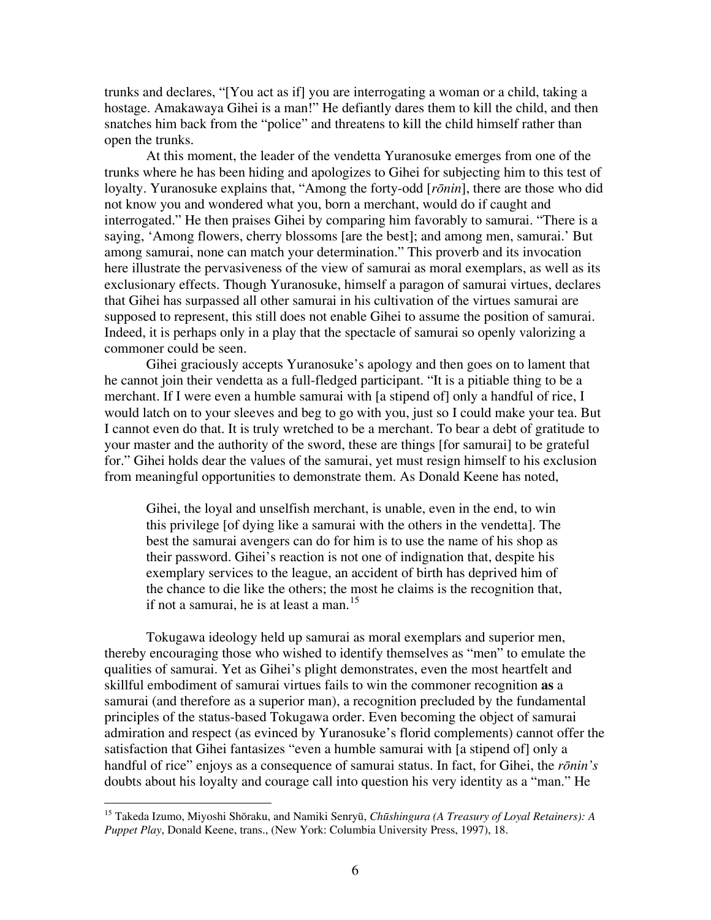trunks and declares, "[You act as if] you are interrogating a woman or a child, taking a hostage. Amakawaya Gihei is a man!" He defiantly dares them to kill the child, and then snatches him back from the "police" and threatens to kill the child himself rather than open the trunks.

At this moment, the leader of the vendetta Yuranosuke emerges from one of the trunks where he has been hiding and apologizes to Gihei for subjecting him to this test of loyalty. Yuranosuke explains that, "Among the forty-odd [*rōnin*], there are those who did not know you and wondered what you, born a merchant, would do if caught and interrogated." He then praises Gihei by comparing him favorably to samurai. "There is a saying, 'Among flowers, cherry blossoms [are the best]; and among men, samurai.' But among samurai, none can match your determination." This proverb and its invocation here illustrate the pervasiveness of the view of samurai as moral exemplars, as well as its exclusionary effects. Though Yuranosuke, himself a paragon of samurai virtues, declares that Gihei has surpassed all other samurai in his cultivation of the virtues samurai are supposed to represent, this still does not enable Gihei to assume the position of samurai. Indeed, it is perhaps only in a play that the spectacle of samurai so openly valorizing a commoner could be seen.

Gihei graciously accepts Yuranosuke's apology and then goes on to lament that he cannot join their vendetta as a full-fledged participant. "It is a pitiable thing to be a merchant. If I were even a humble samurai with [a stipend of] only a handful of rice, I would latch on to your sleeves and beg to go with you, just so I could make your tea. But I cannot even do that. It is truly wretched to be a merchant. To bear a debt of gratitude to your master and the authority of the sword, these are things [for samurai] to be grateful for." Gihei holds dear the values of the samurai, yet must resign himself to his exclusion from meaningful opportunities to demonstrate them. As Donald Keene has noted,

Gihei, the loyal and unselfish merchant, is unable, even in the end, to win this privilege [of dying like a samurai with the others in the vendetta]. The best the samurai avengers can do for him is to use the name of his shop as their password. Gihei's reaction is not one of indignation that, despite his exemplary services to the league, an accident of birth has deprived him of the chance to die like the others; the most he claims is the recognition that, if not a samurai, he is at least a man. $15$ 

Tokugawa ideology held up samurai as moral exemplars and superior men, thereby encouraging those who wished to identify themselves as "men" to emulate the qualities of samurai. Yet as Gihei's plight demonstrates, even the most heartfelt and skillful embodiment of samurai virtues fails to win the commoner recognition **as** a samurai (and therefore as a superior man), a recognition precluded by the fundamental principles of the status-based Tokugawa order. Even becoming the object of samurai admiration and respect (as evinced by Yuranosuke's florid complements) cannot offer the satisfaction that Gihei fantasizes "even a humble samurai with [a stipend of] only a handful of rice" enjoys as a consequence of samurai status. In fact, for Gihei, the *rōnin's*  doubts about his loyalty and courage call into question his very identity as a "man." He

<span id="page-5-0"></span><sup>15</sup> Takeda Izumo, Miyoshi Shōraku, and Namiki Senryū, *Chūshingura (A Treasury of Loyal Retainers): A Puppet Play*, Donald Keene, trans., (New York: Columbia University Press, 1997), 18.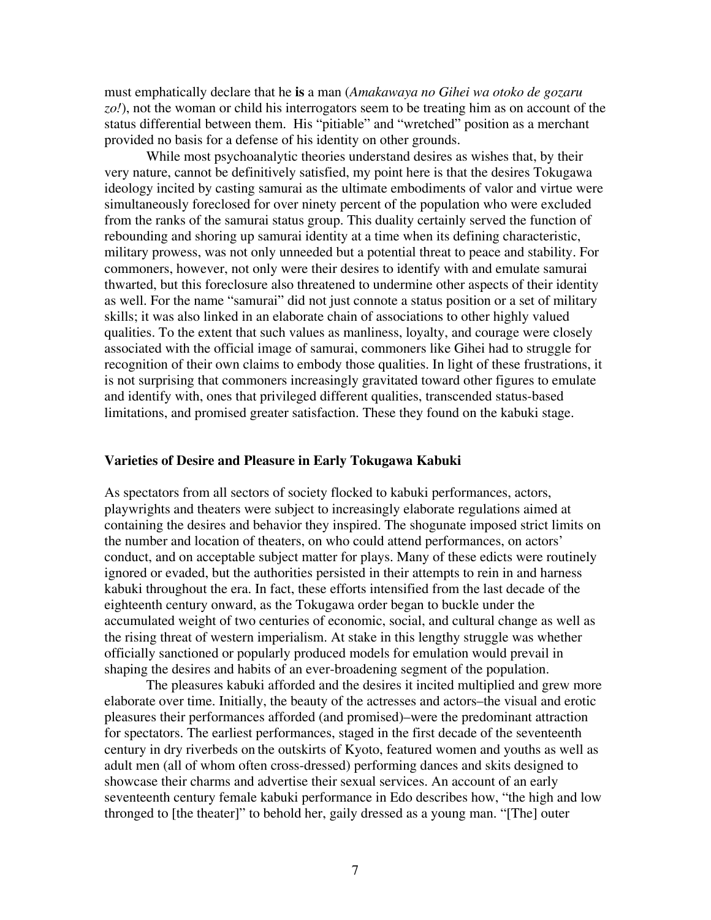must emphatically declare that he **is** a man (*Amakawaya no Gihei wa otoko de gozaru zo!*), not the woman or child his interrogators seem to be treating him as on account of the status differential between them. His "pitiable" and "wretched" position as a merchant provided no basis for a defense of his identity on other grounds.

While most psychoanalytic theories understand desires as wishes that, by their very nature, cannot be definitively satisfied, my point here is that the desires Tokugawa ideology incited by casting samurai as the ultimate embodiments of valor and virtue were simultaneously foreclosed for over ninety percent of the population who were excluded from the ranks of the samurai status group. This duality certainly served the function of rebounding and shoring up samurai identity at a time when its defining characteristic, military prowess, was not only unneeded but a potential threat to peace and stability. For commoners, however, not only were their desires to identify with and emulate samurai thwarted, but this foreclosure also threatened to undermine other aspects of their identity as well. For the name "samurai" did not just connote a status position or a set of military skills; it was also linked in an elaborate chain of associations to other highly valued qualities. To the extent that such values as manliness, loyalty, and courage were closely associated with the official image of samurai, commoners like Gihei had to struggle for recognition of their own claims to embody those qualities. In light of these frustrations, it is not surprising that commoners increasingly gravitated toward other figures to emulate and identify with, ones that privileged different qualities, transcended status-based limitations, and promised greater satisfaction. These they found on the kabuki stage.

#### **Varieties of Desire and Pleasure in Early Tokugawa Kabuki**

As spectators from all sectors of society flocked to kabuki performances, actors, playwrights and theaters were subject to increasingly elaborate regulations aimed at containing the desires and behavior they inspired. The shogunate imposed strict limits on the number and location of theaters, on who could attend performances, on actors' conduct, and on acceptable subject matter for plays. Many of these edicts were routinely ignored or evaded, but the authorities persisted in their attempts to rein in and harness kabuki throughout the era. In fact, these efforts intensified from the last decade of the eighteenth century onward, as the Tokugawa order began to buckle under the accumulated weight of two centuries of economic, social, and cultural change as well as the rising threat of western imperialism. At stake in this lengthy struggle was whether officially sanctioned or popularly produced models for emulation would prevail in shaping the desires and habits of an ever-broadening segment of the population.

The pleasures kabuki afforded and the desires it incited multiplied and grew more elaborate over time. Initially, the beauty of the actresses and actors–the visual and erotic pleasures their performances afforded (and promised)–were the predominant attraction for spectators. The earliest performances, staged in the first decade of the seventeenth century in dry riverbeds on the outskirts of Kyoto, featured women and youths as well as adult men (all of whom often cross-dressed) performing dances and skits designed to showcase their charms and advertise their sexual services. An account of an early seventeenth century female kabuki performance in Edo describes how, "the high and low thronged to [the theater]" to behold her, gaily dressed as a young man. "[The] outer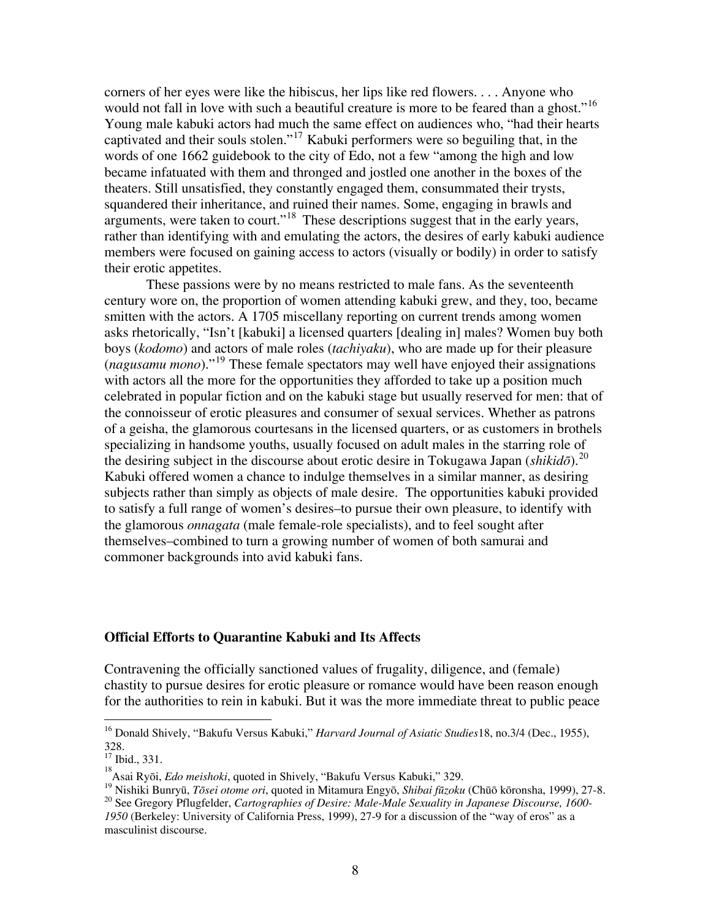corners of her eyes were like the hibiscus, her lips like red flowers. . . . Anyone who would not fall in love with such a beautiful creature is more to be feared than a ghost."<sup>[16](#page-7-0)</sup> Young male kabuki actors had much the same effect on audiences who, "had their hearts captivated and their souls stolen."[17](#page-7-1) Kabuki performers were so beguiling that, in the words of one 1662 guidebook to the city of Edo, not a few "among the high and low became infatuated with them and thronged and jostled one another in the boxes of the theaters. Still unsatisfied, they constantly engaged them, consummated their trysts, squandered their inheritance, and ruined their names. Some, engaging in brawls and arguments, were taken to court."[18](#page-7-2) These descriptions suggest that in the early years, rather than identifying with and emulating the actors, the desires of early kabuki audience members were focused on gaining access to actors (visually or bodily) in order to satisfy their erotic appetites.

These passions were by no means restricted to male fans. As the seventeenth century wore on, the proportion of women attending kabuki grew, and they, too, became smitten with the actors. A 1705 miscellany reporting on current trends among women asks rhetorically, "Isn't [kabuki] a licensed quarters [dealing in] males? Women buy both boys (*kodomo*) and actors of male roles (*tachiyaku*), who are made up for their pleasure (*nagusamu mono*)."[19](#page-7-3) These female spectators may well have enjoyed their assignations with actors all the more for the opportunities they afforded to take up a position much celebrated in popular fiction and on the kabuki stage but usually reserved for men: that of the connoisseur of erotic pleasures and consumer of sexual services. Whether as patrons of a geisha, the glamorous courtesans in the licensed quarters, or as customers in brothels specializing in handsome youths, usually focused on adult males in the starring role of the desiring subject in the discourse about erotic desire in Tokugawa Japan (*shikidō*).[20](#page-7-4) Kabuki offered women a chance to indulge themselves in a similar manner, as desiring subjects rather than simply as objects of male desire. The opportunities kabuki provided to satisfy a full range of women's desires–to pursue their own pleasure, to identify with the glamorous *onnagata* (male female-role specialists), and to feel sought after themselves–combined to turn a growing number of women of both samurai and commoner backgrounds into avid kabuki fans.

# **Official Efforts to Quarantine Kabuki and Its Affects**

Contravening the officially sanctioned values of frugality, diligence, and (female) chastity to pursue desires for erotic pleasure or romance would have been reason enough for the authorities to rein in kabuki. But it was the more immediate threat to public peace

<span id="page-7-0"></span><sup>16</sup> Donald Shively, "Bakufu Versus Kabuki," *Harvard Journal of Asiatic Studies*18, no.3/4 (Dec., 1955), 328.

<span id="page-7-1"></span> $17$  Ibid., 331.

<span id="page-7-2"></span><sup>&</sup>lt;sup>18</sup> Asai Ryōi, *Edo meishoki*, quoted in Shively, "Bakufu Versus Kabuki," 329.<br><sup>19</sup> Nishiki Bunryū, *Tōsei otome ori*, quoted in Mitamura Engyō, *Shibai fūzoku* (Chūō kōronsha, 1999), 27-8.<br><sup>20</sup> See Gregory Pflugfelder,

<span id="page-7-4"></span><span id="page-7-3"></span>*<sup>1950</sup>* (Berkeley: University of California Press, 1999), 27-9 for a discussion of the "way of eros" as a masculinist discourse.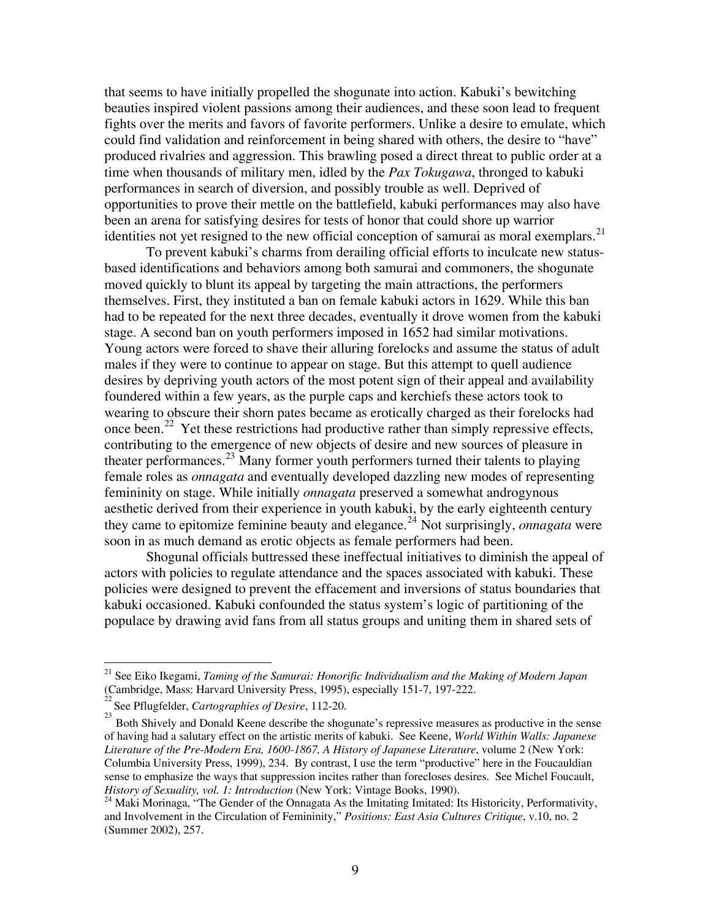that seems to have initially propelled the shogunate into action. Kabuki's bewitching beauties inspired violent passions among their audiences, and these soon lead to frequent fights over the merits and favors of favorite performers. Unlike a desire to emulate, which could find validation and reinforcement in being shared with others, the desire to "have" produced rivalries and aggression. This brawling posed a direct threat to public order at a time when thousands of military men, idled by the *Pax Tokugawa*, thronged to kabuki performances in search of diversion, and possibly trouble as well. Deprived of opportunities to prove their mettle on the battlefield, kabuki performances may also have been an arena for satisfying desires for tests of honor that could shore up warrior identities not yet resigned to the new official conception of samurai as moral exemplars. $^{21}$  $^{21}$  $^{21}$ 

 To prevent kabuki's charms from derailing official efforts to inculcate new statusbased identifications and behaviors among both samurai and commoners, the shogunate moved quickly to blunt its appeal by targeting the main attractions, the performers themselves. First, they instituted a ban on female kabuki actors in 1629. While this ban had to be repeated for the next three decades, eventually it drove women from the kabuki stage. A second ban on youth performers imposed in 1652 had similar motivations. Young actors were forced to shave their alluring forelocks and assume the status of adult males if they were to continue to appear on stage. But this attempt to quell audience desires by depriving youth actors of the most potent sign of their appeal and availability foundered within a few years, as the purple caps and kerchiefs these actors took to wearing to obscure their shorn pates became as erotically charged as their forelocks had once been.<sup>[22](#page-8-1)</sup> Yet these restrictions had productive rather than simply repressive effects, contributing to the emergence of new objects of desire and new sources of pleasure in theater performances.[23](#page-8-2) Many former youth performers turned their talents to playing female roles as *onnagata* and eventually developed dazzling new modes of representing femininity on stage. While initially *onnagata* preserved a somewhat androgynous aesthetic derived from their experience in youth kabuki, by the early eighteenth century they came to epitomize feminine beauty and elegance.[24](#page-8-3) Not surprisingly, *onnagata* were soon in as much demand as erotic objects as female performers had been.

Shogunal officials buttressed these ineffectual initiatives to diminish the appeal of actors with policies to regulate attendance and the spaces associated with kabuki. These policies were designed to prevent the effacement and inversions of status boundaries that kabuki occasioned. Kabuki confounded the status system's logic of partitioning of the populace by drawing avid fans from all status groups and uniting them in shared sets of

<span id="page-8-0"></span><sup>21</sup> See Eiko Ikegami, *Taming of the Samurai: Honorific Individualism and the Making of Modern Japan* (Cambridge, Mass: Harvard University Press, 1995), especially 151-7, 197-222. 22

<span id="page-8-1"></span>See Pflugfelder, *Cartographies of Desire*, 112-20.

<span id="page-8-2"></span>Both Shively and Donald Keene describe the shogunate's repressive measures as productive in the sense of having had a salutary effect on the artistic merits of kabuki. See Keene, *World Within Walls: Japanese Literature of the Pre-Modern Era, 1600-1867, A History of Japanese Literature*, volume 2 (New York: Columbia University Press, 1999), 234. By contrast, I use the term "productive" here in the Foucauldian sense to emphasize the ways that suppression incites rather than forecloses desires. See Michel Foucault, *History of Sexuality, vol. 1: Introduction* (New York: Vintage Books, 1990).<br><sup>24</sup> Maki Morinaga, "The Gender of the Onnagata As the Imitating Imitated: Its Historicity, Performativity,

<span id="page-8-3"></span>and Involvement in the Circulation of Femininity," *Positions: East Asia Cultures Critique*, v.10, no. 2 (Summer 2002), 257.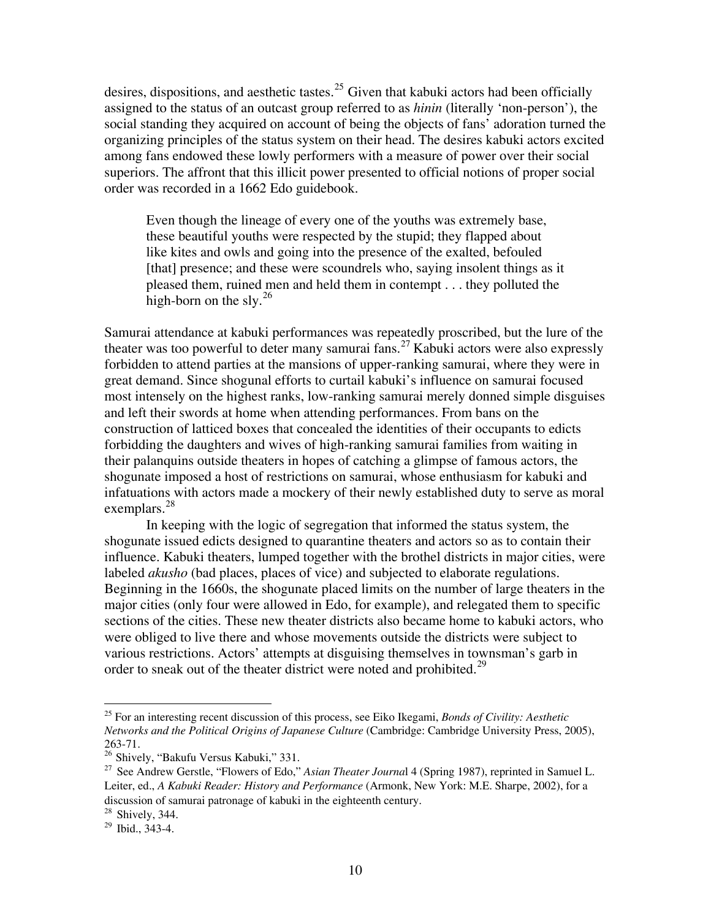desires, dispositions, and aesthetic tastes.<sup>[25](#page-9-0)</sup> Given that kabuki actors had been officially assigned to the status of an outcast group referred to as *hinin* (literally 'non-person'), the social standing they acquired on account of being the objects of fans' adoration turned the organizing principles of the status system on their head. The desires kabuki actors excited among fans endowed these lowly performers with a measure of power over their social superiors. The affront that this illicit power presented to official notions of proper social order was recorded in a 1662 Edo guidebook.

Even though the lineage of every one of the youths was extremely base, these beautiful youths were respected by the stupid; they flapped about like kites and owls and going into the presence of the exalted, befouled [that] presence; and these were scoundrels who, saying insolent things as it pleased them, ruined men and held them in contempt . . . they polluted the high-born on the sly. $^{26}$  $^{26}$  $^{26}$ 

Samurai attendance at kabuki performances was repeatedly proscribed, but the lure of the theater was too powerful to deter many samurai fans.<sup>[27](#page-9-2)</sup> Kabuki actors were also expressly forbidden to attend parties at the mansions of upper-ranking samurai, where they were in great demand. Since shogunal efforts to curtail kabuki's influence on samurai focused most intensely on the highest ranks, low-ranking samurai merely donned simple disguises and left their swords at home when attending performances. From bans on the construction of latticed boxes that concealed the identities of their occupants to edicts forbidding the daughters and wives of high-ranking samurai families from waiting in their palanquins outside theaters in hopes of catching a glimpse of famous actors, the shogunate imposed a host of restrictions on samurai, whose enthusiasm for kabuki and infatuations with actors made a mockery of their newly established duty to serve as moral exemplars. $28$ 

In keeping with the logic of segregation that informed the status system, the shogunate issued edicts designed to quarantine theaters and actors so as to contain their influence. Kabuki theaters, lumped together with the brothel districts in major cities, were labeled *akusho* (bad places, places of vice) and subjected to elaborate regulations. Beginning in the 1660s, the shogunate placed limits on the number of large theaters in the major cities (only four were allowed in Edo, for example), and relegated them to specific sections of the cities. These new theater districts also became home to kabuki actors, who were obliged to live there and whose movements outside the districts were subject to various restrictions. Actors' attempts at disguising themselves in townsman's garb in order to sneak out of the theater district were noted and prohibited.<sup>[29](#page-9-4)</sup>

<span id="page-9-0"></span><sup>25</sup> For an interesting recent discussion of this process, see Eiko Ikegami, *Bonds of Civility: Aesthetic Networks and the Political Origins of Japanese Culture* (Cambridge: Cambridge University Press, 2005), 263-71.<br><sup>26</sup> Shively, "Bakufu Versus Kabuki," 331.

<span id="page-9-2"></span><span id="page-9-1"></span><sup>&</sup>lt;sup>27</sup> See Andrew Gerstle, "Flowers of Edo," Asian Theater Journal 4 (Spring 1987), reprinted in Samuel L. Leiter, ed., *A Kabuki Reader: History and Performance* (Armonk, New York: M.E. Sharpe, 2002), for a discussion of samurai patronage of kabuki in the eighteenth century.

<span id="page-9-3"></span> $^{28}$  Shively, 344.<br> $^{29}$  Ibid., 343-4.

<span id="page-9-4"></span>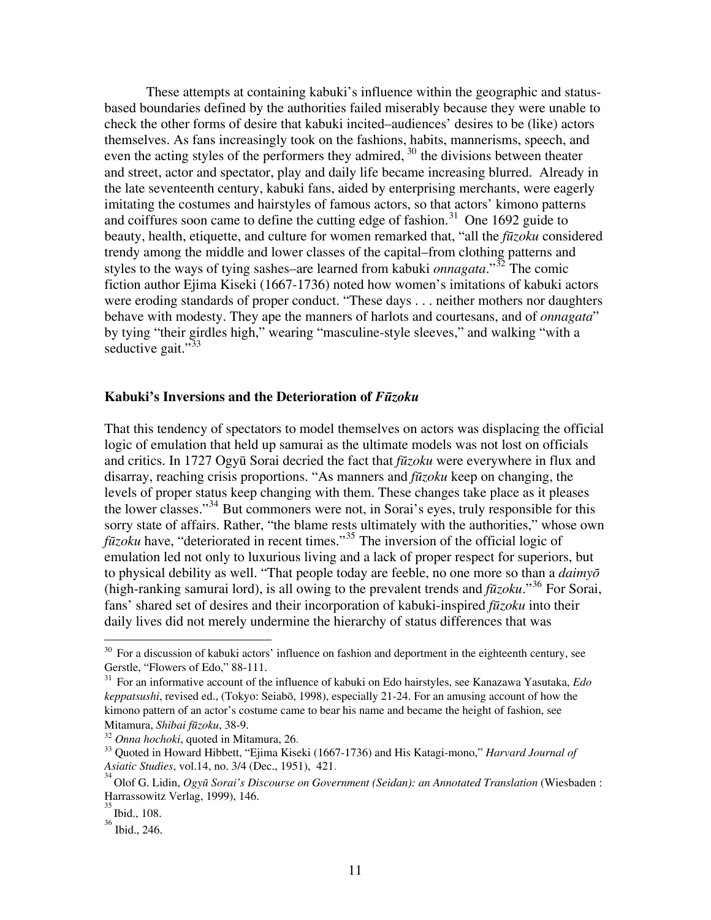These attempts at containing kabuki's influence within the geographic and statusbased boundaries defined by the authorities failed miserably because they were unable to check the other forms of desire that kabuki incited–audiences' desires to be (like) actors themselves. As fans increasingly took on the fashions, habits, mannerisms, speech, and even the acting styles of the performers they admired,  $30$  the divisions between theater and street, actor and spectator, play and daily life became increasing blurred. Already in the late seventeenth century, kabuki fans, aided by enterprising merchants, were eagerly imitating the costumes and hairstyles of famous actors, so that actors' kimono patterns and coiffures soon came to define the cutting edge of fashion. [31](#page-10-1) One 1692 guide to beauty, health, etiquette, and culture for women remarked that, "all the *fūzoku* considered trendy among the middle and lower classes of the capital–from clothing patterns and styles to the ways of tying sashes–are learned from kabuki *onnagata*."[32](#page-10-2) The comic fiction author Ejima Kiseki (1667-1736) noted how women's imitations of kabuki actors were eroding standards of proper conduct. "These days . . . neither mothers nor daughters behave with modesty. They ape the manners of harlots and courtesans, and of *onnagata*" by tying "their girdles high," wearing "masculine-style sleeves," and walking "with a seductive gait." $33$ 

## **Kabuki's Inversions and the Deterioration of** *Fūzoku*

That this tendency of spectators to model themselves on actors was displacing the official logic of emulation that held up samurai as the ultimate models was not lost on officials and critics. In 1727 Ogyū Sorai decried the fact that *fūzoku* were everywhere in flux and disarray, reaching crisis proportions. "As manners and *fūzoku* keep on changing, the levels of proper status keep changing with them. These changes take place as it pleases the lower classes."[34](#page-10-4) But commoners were not, in Sorai's eyes, truly responsible for this sorry state of affairs. Rather, "the blame rests ultimately with the authorities," whose own *fūzoku* have, "deteriorated in recent times."[35](#page-10-5) The inversion of the official logic of emulation led not only to luxurious living and a lack of proper respect for superiors, but to physical debility as well. "That people today are feeble, no one more so than a *daimyō* (high-ranking samurai lord), is all owing to the prevalent trends and *fūzoku*."[36](#page-10-6) For Sorai, fans' shared set of desires and their incorporation of kabuki-inspired *fūzoku* into their daily lives did not merely undermine the hierarchy of status differences that was

<u>.</u>

<span id="page-10-0"></span> $30$  For a discussion of kabuki actors' influence on fashion and deportment in the eighteenth century, see Gerstle, "Flowers of Edo," 88-111.

<span id="page-10-1"></span><sup>31</sup> For an informative account of the influence of kabuki on Edo hairstyles, see Kanazawa Yasutaka, *Edo keppatsushi*, revised ed., (Tokyo: Seiabō, 1998), especially 21-24. For an amusing account of how the kimono pattern of an actor's costume came to bear his name and became the height of fashion, see Mitamura, *Shibai fūzoku*, 38-9.<br><sup>32</sup> *Onna hochoki*, quoted in Mitamura, 26.<br><sup>33</sup> Quoted in Howard Hibbett, "Ejima Kiseki (1667-1736) and His Katagi-mono," *Harvard Journal of* 

<span id="page-10-2"></span>

<span id="page-10-3"></span>*Asiatic Studies*, vol.14, no. 3/4 (Dec., 1951), 421.<br><sup>34</sup> Q1.56 X J<sup>3</sup>

<span id="page-10-4"></span>Olof G. Lidin, *Ogyū Sorai's Discourse on Government (Seidan): an Annotated Translation* (Wiesbaden : Harrassowitz Verlag, 1999), 146.

<span id="page-10-5"></span><sup>35</sup> Ibid., 108.

<span id="page-10-6"></span><sup>36</sup> Ibid., 246.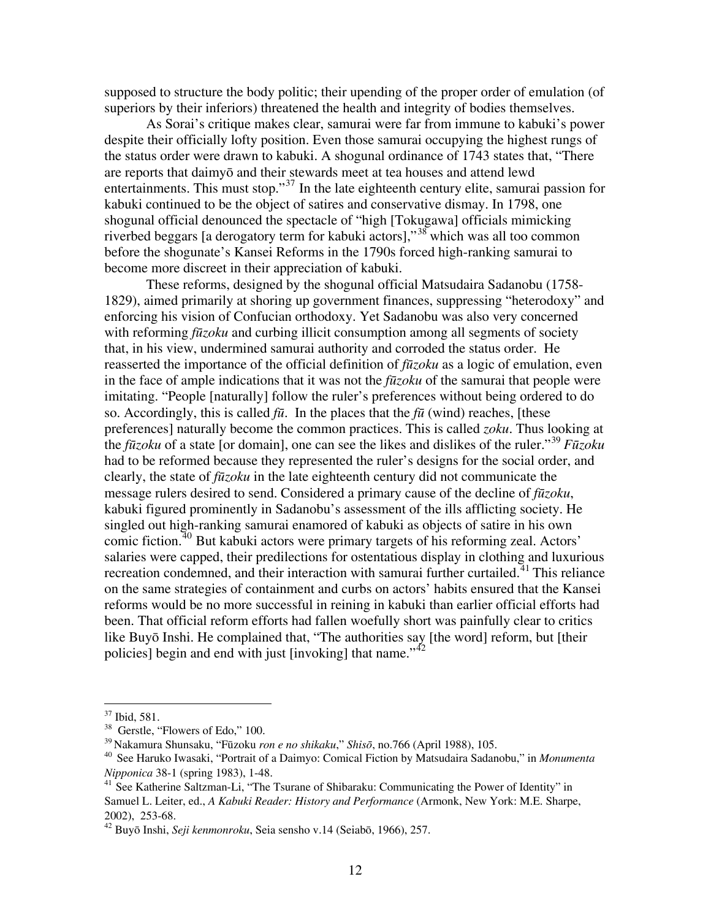supposed to structure the body politic; their upending of the proper order of emulation (of superiors by their inferiors) threatened the health and integrity of bodies themselves.

 As Sorai's critique makes clear, samurai were far from immune to kabuki's power despite their officially lofty position. Even those samurai occupying the highest rungs of the status order were drawn to kabuki. A shogunal ordinance of 1743 states that, "There are reports that daimyō and their stewards meet at tea houses and attend lewd entertainments. This must stop."[37](#page-11-0) In the late eighteenth century elite, samurai passion for kabuki continued to be the object of satires and conservative dismay. In 1798, one shogunal official denounced the spectacle of "high [Tokugawa] officials mimicking riverbed beggars [a derogatory term for kabuki actors],"[38](#page-11-1) which was all too common before the shogunate's Kansei Reforms in the 1790s forced high-ranking samurai to become more discreet in their appreciation of kabuki.

 These reforms, designed by the shogunal official Matsudaira Sadanobu (1758- 1829), aimed primarily at shoring up government finances, suppressing "heterodoxy" and enforcing his vision of Confucian orthodoxy. Yet Sadanobu was also very concerned with reforming *fūzoku* and curbing illicit consumption among all segments of society that, in his view, undermined samurai authority and corroded the status order. He reasserted the importance of the official definition of *fūzoku* as a logic of emulation, even in the face of ample indications that it was not the *fūzoku* of the samurai that people were imitating. "People [naturally] follow the ruler's preferences without being ordered to do so. Accordingly, this is called  $f\bar{u}$ . In the places that the  $f\bar{u}$  (wind) reaches, [these preferences] naturally become the common practices. This is called *zoku*. Thus looking at the *fūzoku* of a state [or domain], one can see the likes and dislikes of the ruler."[39](#page-11-2) *Fūzoku* had to be reformed because they represented the ruler's designs for the social order, and clearly, the state of *fūzoku* in the late eighteenth century did not communicate the message rulers desired to send. Considered a primary cause of the decline of *fūzoku*, kabuki figured prominently in Sadanobu's assessment of the ills afflicting society. He singled out high-ranking samurai enamored of kabuki as objects of satire in his own comic fiction.<sup>[40](#page-11-3)</sup> But kabuki actors were primary targets of his reforming zeal. Actors' salaries were capped, their predilections for ostentatious display in clothing and luxurious recreation condemned, and their interaction with samurai further curtailed.<sup>[41](#page-11-4)</sup> This reliance on the same strategies of containment and curbs on actors' habits ensured that the Kansei reforms would be no more successful in reining in kabuki than earlier official efforts had been. That official reform efforts had fallen woefully short was painfully clear to critics like Buyō Inshi. He complained that, "The authorities say [the word] reform, but [their policies] begin and end with just  $\lim_{x \to 0}$  that name.<sup> $1/42$  $1/42$ </sup>

<sup>37</sup> Ibid, 581.

<span id="page-11-1"></span><span id="page-11-0"></span><sup>&</sup>lt;sup>38</sup> Gerstle, "Flowers of Edo," 100.

<span id="page-11-3"></span><span id="page-11-2"></span><sup>&</sup>lt;sup>39</sup> Nakamura Shunsaku, "Fūzoku *ron e no shikaku*," *Shisō*, no.766 (April 1988), 105.<br><sup>40</sup> See Haruko Iwasaki, "Portrait of a Daimyo: Comical Fiction by Matsudaira Sadanobu," in *Monumenta Nipponica* 38-1 (spring 1983), 1-48.<br><sup>41</sup> See Katherine Saltzman-Li, "The Tsurane of Shibaraku: Communicating the Power of Identity" in

<span id="page-11-4"></span>Samuel L. Leiter, ed., *A Kabuki Reader: History and Performance* (Armonk, New York: M.E. Sharpe, 2002), 253-68.

<span id="page-11-5"></span><sup>42</sup> Buyō Inshi, *Seji kenmonroku*, Seia sensho v.14 (Seiabō, 1966), 257.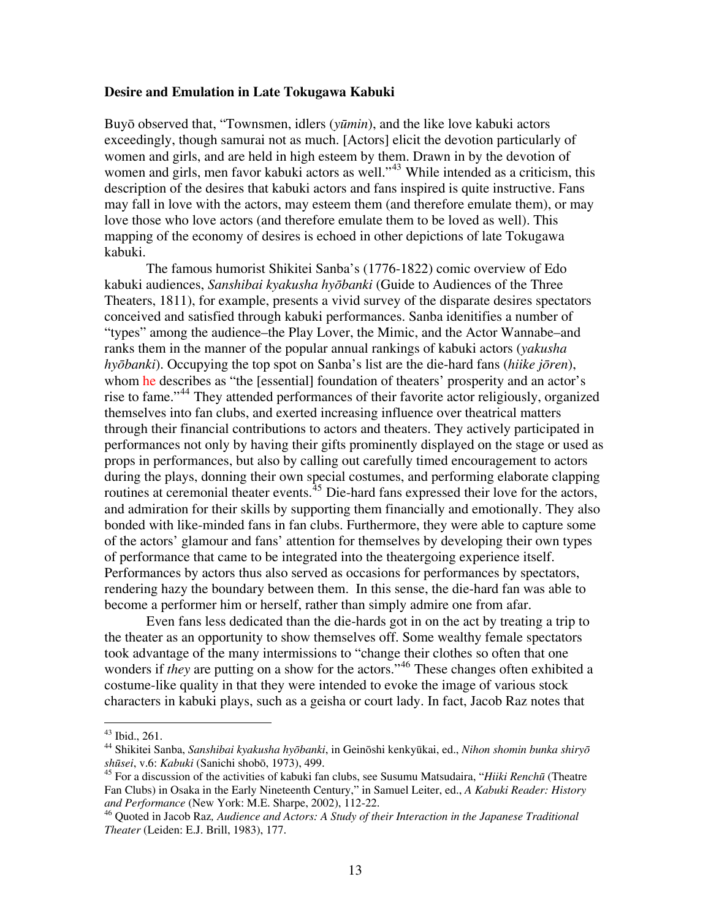## **Desire and Emulation in Late Tokugawa Kabuki**

Buyō observed that, "Townsmen, idlers (*yūmin*), and the like love kabuki actors exceedingly, though samurai not as much. [Actors] elicit the devotion particularly of women and girls, and are held in high esteem by them. Drawn in by the devotion of women and girls, men favor kabuki actors as well."<sup>[43](#page-12-0)</sup> While intended as a criticism, this description of the desires that kabuki actors and fans inspired is quite instructive. Fans may fall in love with the actors, may esteem them (and therefore emulate them), or may love those who love actors (and therefore emulate them to be loved as well). This mapping of the economy of desires is echoed in other depictions of late Tokugawa kabuki.

The famous humorist Shikitei Sanba's (1776-1822) comic overview of Edo kabuki audiences, *Sanshibai kyakusha hyōbanki* (Guide to Audiences of the Three Theaters, 1811), for example, presents a vivid survey of the disparate desires spectators conceived and satisfied through kabuki performances. Sanba idenitifies a number of "types" among the audience–the Play Lover, the Mimic, and the Actor Wannabe–and ranks them in the manner of the popular annual rankings of kabuki actors (*yakusha hyōbanki*). Occupying the top spot on Sanba's list are the die-hard fans (*hiike jōren*), whom he describes as "the [essential] foundation of theaters' prosperity and an actor's rise to fame."<sup>[44](#page-12-1)</sup> They attended performances of their favorite actor religiously, organized themselves into fan clubs, and exerted increasing influence over theatrical matters through their financial contributions to actors and theaters. They actively participated in performances not only by having their gifts prominently displayed on the stage or used as props in performances, but also by calling out carefully timed encouragement to actors during the plays, donning their own special costumes, and performing elaborate clapping routines at ceremonial theater events.<sup>[45](#page-12-2)</sup> Die-hard fans expressed their love for the actors, and admiration for their skills by supporting them financially and emotionally. They also bonded with like-minded fans in fan clubs. Furthermore, they were able to capture some of the actors' glamour and fans' attention for themselves by developing their own types of performance that came to be integrated into the theatergoing experience itself. Performances by actors thus also served as occasions for performances by spectators, rendering hazy the boundary between them. In this sense, the die-hard fan was able to become a performer him or herself, rather than simply admire one from afar.

Even fans less dedicated than the die-hards got in on the act by treating a trip to the theater as an opportunity to show themselves off. Some wealthy female spectators took advantage of the many intermissions to "change their clothes so often that one wonders if *they* are putting on a show for the actors."<sup>[46](#page-12-3)</sup> These changes often exhibited a costume-like quality in that they were intended to evoke the image of various stock characters in kabuki plays, such as a geisha or court lady. In fact, Jacob Raz notes that

<span id="page-12-0"></span><sup>43</sup> Ibid., 261.

<span id="page-12-1"></span><sup>44</sup> Shikitei Sanba, *Sanshibai kyakusha hyōbanki*, in Geinōshi kenkyūkai, ed., *Nihon shomin bunka shiryō shūsei*, v.6: *Kabuki* (Sanichi shobō, 1973), 499.

<span id="page-12-2"></span><sup>45</sup> For a discussion of the activities of kabuki fan clubs, see Susumu Matsudaira, "*Hiiki Renchū* (Theatre Fan Clubs) in Osaka in the Early Nineteenth Century," in Samuel Leiter, ed., *A Kabuki Reader: History and Performance* (New York: M.E. Sharpe, 2002), 112-22.

<span id="page-12-3"></span><sup>46</sup> Quoted in Jacob Raz*, Audience and Actors: A Study of their Interaction in the Japanese Traditional Theater* (Leiden: E.J. Brill, 1983), 177.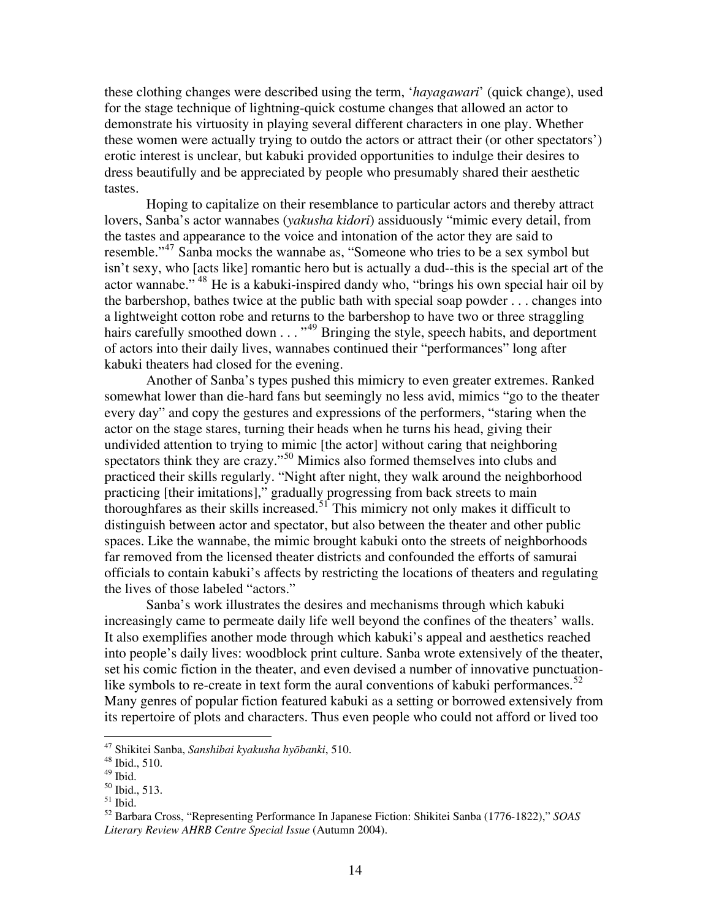these clothing changes were described using the term, '*hayagawari*' (quick change), used for the stage technique of lightning-quick costume changes that allowed an actor to demonstrate his virtuosity in playing several different characters in one play. Whether these women were actually trying to outdo the actors or attract their (or other spectators') erotic interest is unclear, but kabuki provided opportunities to indulge their desires to dress beautifully and be appreciated by people who presumably shared their aesthetic tastes.

Hoping to capitalize on their resemblance to particular actors and thereby attract lovers, Sanba's actor wannabes (*yakusha kidori*) assiduously "mimic every detail, from the tastes and appearance to the voice and intonation of the actor they are said to resemble."[47](#page-13-0) Sanba mocks the wannabe as, "Someone who tries to be a sex symbol but isn't sexy, who [acts like] romantic hero but is actually a dud--this is the special art of the actor wannabe." [48](#page-13-1) He is a kabuki-inspired dandy who, "brings his own special hair oil by the barbershop, bathes twice at the public bath with special soap powder . . . changes into a lightweight cotton robe and returns to the barbershop to have two or three straggling hairs carefully smoothed down  $\dots$ <sup>[49](#page-13-2)</sup> Bringing the style, speech habits, and deportment of actors into their daily lives, wannabes continued their "performances" long after kabuki theaters had closed for the evening.

 Another of Sanba's types pushed this mimicry to even greater extremes. Ranked somewhat lower than die-hard fans but seemingly no less avid, mimics "go to the theater every day" and copy the gestures and expressions of the performers, "staring when the actor on the stage stares, turning their heads when he turns his head, giving their undivided attention to trying to mimic [the actor] without caring that neighboring spectators think they are crazy."<sup>[50](#page-13-3)</sup> Mimics also formed themselves into clubs and practiced their skills regularly. "Night after night, they walk around the neighborhood practicing [their imitations]," gradually progressing from back streets to main thoroughfares as their skills increased.[51](#page-13-4) This mimicry not only makes it difficult to distinguish between actor and spectator, but also between the theater and other public spaces. Like the wannabe, the mimic brought kabuki onto the streets of neighborhoods far removed from the licensed theater districts and confounded the efforts of samurai officials to contain kabuki's affects by restricting the locations of theaters and regulating the lives of those labeled "actors."

Sanba's work illustrates the desires and mechanisms through which kabuki increasingly came to permeate daily life well beyond the confines of the theaters' walls. It also exemplifies another mode through which kabuki's appeal and aesthetics reached into people's daily lives: woodblock print culture. Sanba wrote extensively of the theater, set his comic fiction in the theater, and even devised a number of innovative punctuation-like symbols to re-create in text form the aural conventions of kabuki performances.<sup>[52](#page-13-5)</sup> Many genres of popular fiction featured kabuki as a setting or borrowed extensively from its repertoire of plots and characters. Thus even people who could not afford or lived too

<span id="page-13-0"></span><sup>47</sup> Shikitei Sanba, *Sanshibai kyakusha hyōbanki*, 510. 48 Ibid., 510.

<span id="page-13-2"></span><span id="page-13-1"></span> $49$  Ibid.

<span id="page-13-3"></span><sup>50</sup> Ibid., 513.

<span id="page-13-4"></span> $51$  Ibid.

<span id="page-13-5"></span><sup>52</sup> Barbara Cross, "Representing Performance In Japanese Fiction: Shikitei Sanba (1776-1822)," *SOAS Literary Review AHRB Centre Special Issue* (Autumn 2004).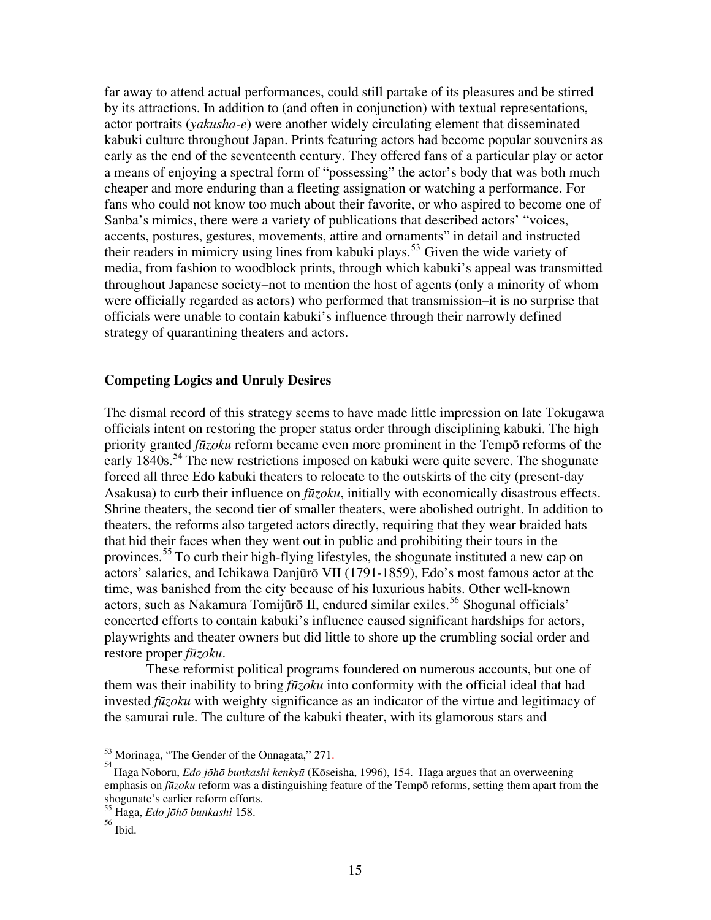far away to attend actual performances, could still partake of its pleasures and be stirred by its attractions. In addition to (and often in conjunction) with textual representations, actor portraits (*yakusha-e*) were another widely circulating element that disseminated kabuki culture throughout Japan. Prints featuring actors had become popular souvenirs as early as the end of the seventeenth century. They offered fans of a particular play or actor a means of enjoying a spectral form of "possessing" the actor's body that was both much cheaper and more enduring than a fleeting assignation or watching a performance. For fans who could not know too much about their favorite, or who aspired to become one of Sanba's mimics, there were a variety of publications that described actors' "voices, accents, postures, gestures, movements, attire and ornaments" in detail and instructed their readers in mimicry using lines from kabuki plays.<sup>[53](#page-14-0)</sup> Given the wide variety of media, from fashion to woodblock prints, through which kabuki's appeal was transmitted throughout Japanese society–not to mention the host of agents (only a minority of whom were officially regarded as actors) who performed that transmission–it is no surprise that officials were unable to contain kabuki's influence through their narrowly defined strategy of quarantining theaters and actors.

# **Competing Logics and Unruly Desires**

The dismal record of this strategy seems to have made little impression on late Tokugawa officials intent on restoring the proper status order through disciplining kabuki. The high priority granted *fūzoku* reform became even more prominent in the Tempō reforms of the early 1840s.<sup>[54](#page-14-1)</sup> The new restrictions imposed on kabuki were quite severe. The shogunate forced all three Edo kabuki theaters to relocate to the outskirts of the city (present-day Asakusa) to curb their influence on *fūzoku*, initially with economically disastrous effects. Shrine theaters, the second tier of smaller theaters, were abolished outright. In addition to theaters, the reforms also targeted actors directly, requiring that they wear braided hats that hid their faces when they went out in public and prohibiting their tours in the provinces.<sup>[55](#page-14-2)</sup> To curb their high-flying lifestyles, the shogunate instituted a new cap on actors' salaries, and Ichikawa Danjūrō VII (1791-1859), Edo's most famous actor at the time, was banished from the city because of his luxurious habits. Other well-known actors, such as Nakamura Tomijūrō II, endured similar exiles.<sup>[56](#page-14-3)</sup> Shogunal officials' concerted efforts to contain kabuki's influence caused significant hardships for actors, playwrights and theater owners but did little to shore up the crumbling social order and restore proper *fūzoku*.

These reformist political programs foundered on numerous accounts, but one of them was their inability to bring *fūzoku* into conformity with the official ideal that had invested *fūzoku* with weighty significance as an indicator of the virtue and legitimacy of the samurai rule. The culture of the kabuki theater, with its glamorous stars and

 $53$  Morinaga, "The Gender of the Onnagata," 271.

<span id="page-14-1"></span><span id="page-14-0"></span>Haga Noboru, *Edo jōhō bunkashi kenkyū* (Kōseisha, 1996), 154. Haga argues that an overweening emphasis on *fūzoku* reform was a distinguishing feature of the Tempō reforms, setting them apart from the shogunate's earlier reform efforts.

<span id="page-14-3"></span><span id="page-14-2"></span><sup>55</sup> Haga, *Edo jōhō bunkashi* 158.

<sup>56</sup> Ibid.